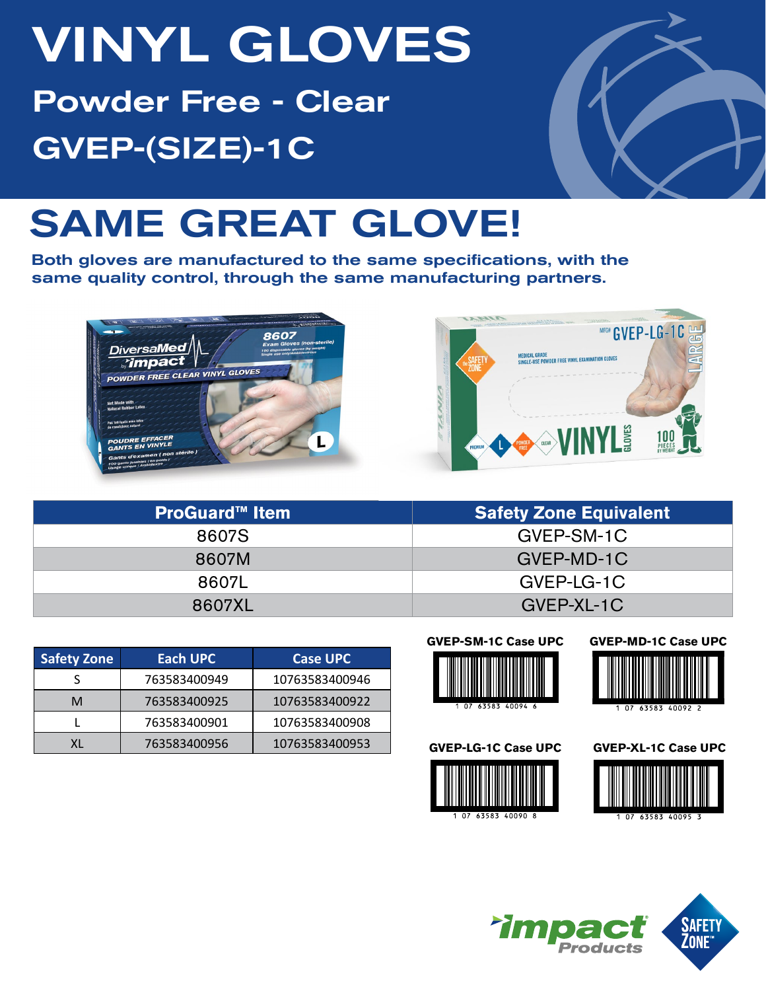# VINYL GLOVES Powder Free - Clear GVEP-(SIZE)-1C



## SAME GREAT GLOVE!

Both gloves are manufactured to the same specifications, with the same quality control, through the same manufacturing partners.





| <b>ProGuard™ Item</b> | <b>Safety Zone Equivalent</b> |
|-----------------------|-------------------------------|
| 8607S                 | GVEP-SM-1C                    |
| 8607M                 | GVEP-MD-1C                    |
| 8607L                 | GVEP-LG-1C                    |
| 8607XL                | GVEP-XL-1C                    |

| <b>Safety Zone</b> | Each UPC     | <b>Case UPC</b> |
|--------------------|--------------|-----------------|
|                    | 763583400949 | 10763583400946  |
| м                  | 763583400925 | 10763583400922  |
|                    | 763583400901 | 10763583400908  |
|                    | 763583400956 | 10763583400953  |











**GVEP-XL-1C Case UPC**